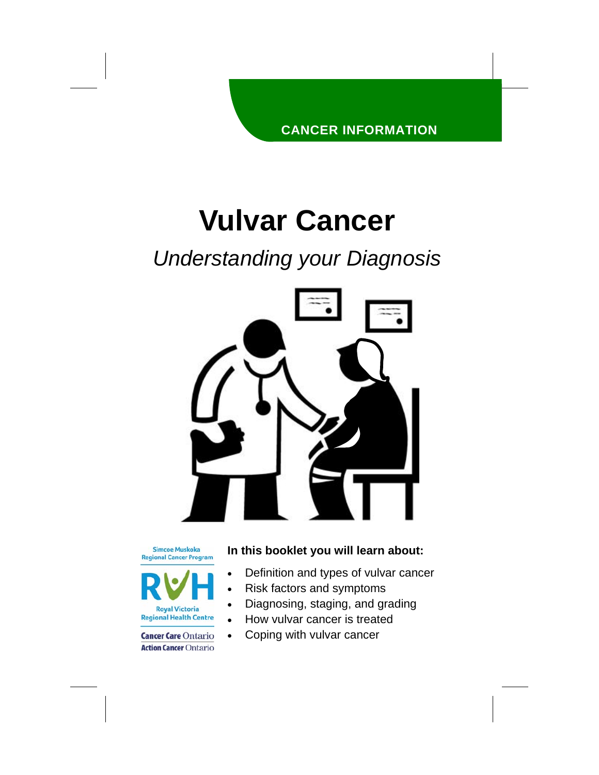# **Vulvar Cancer**

## *Understanding your Diagnosis*



**Simcoe Muskoka Regional Cancer Program** 



**Cancer Care Ontario Action Cancer Ontario** 

#### **In this booklet you will learn about:**

- Definition and types of vulvar cancer
- Risk factors and symptoms
- Diagnosing, staging, and grading
- How vulvar cancer is treated
- Coping with vulvar cancer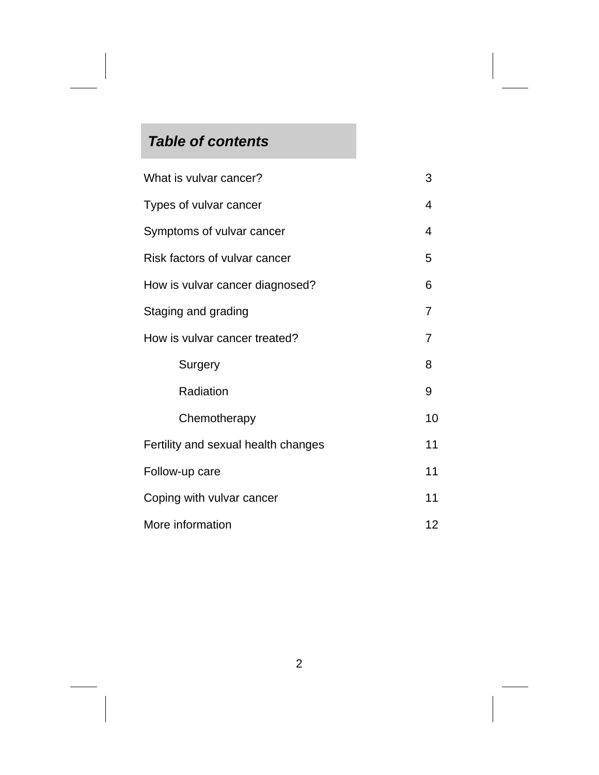## *Table of contents*

| What is vulvar cancer?              | 3              |
|-------------------------------------|----------------|
| Types of vulvar cancer              | 4              |
| Symptoms of vulvar cancer           | $\overline{4}$ |
| Risk factors of vulvar cancer       | 5              |
| How is vulvar cancer diagnosed?     | 6              |
| Staging and grading                 | 7              |
| How is vulvar cancer treated?       | 7              |
| Surgery                             | 8              |
| Radiation                           | 9              |
| Chemotherapy                        | 10             |
| Fertility and sexual health changes | 11             |
| Follow-up care                      | 11             |
| Coping with vulvar cancer           | 11             |
| More information                    | 12             |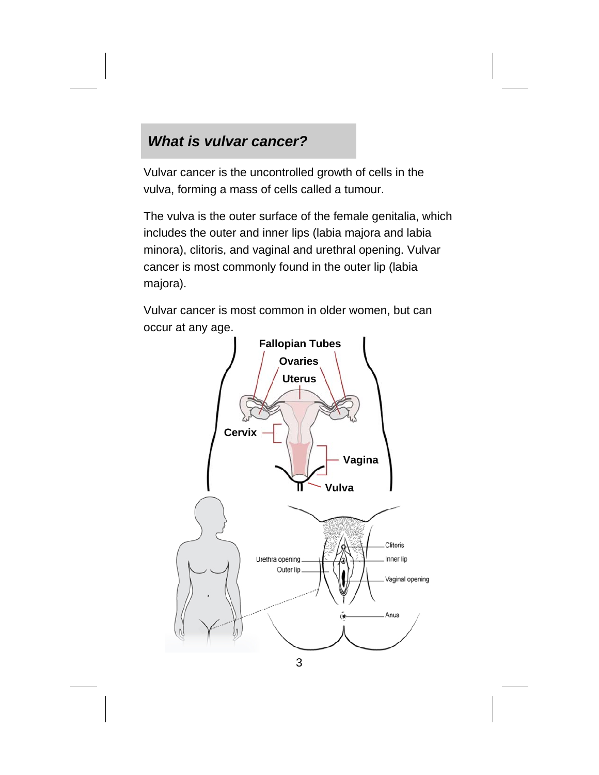## *What is vulvar cancer?*

Vulvar cancer is the uncontrolled growth of cells in the vulva, forming a mass of cells called a tumour.

The vulva is the outer surface of the female genitalia, which includes the outer and inner lips (labia majora and labia minora), clitoris, and vaginal and urethral opening. Vulvar cancer is most commonly found in the outer lip (labia majora).

Vulvar cancer is most common in older women, but can occur at any age.



3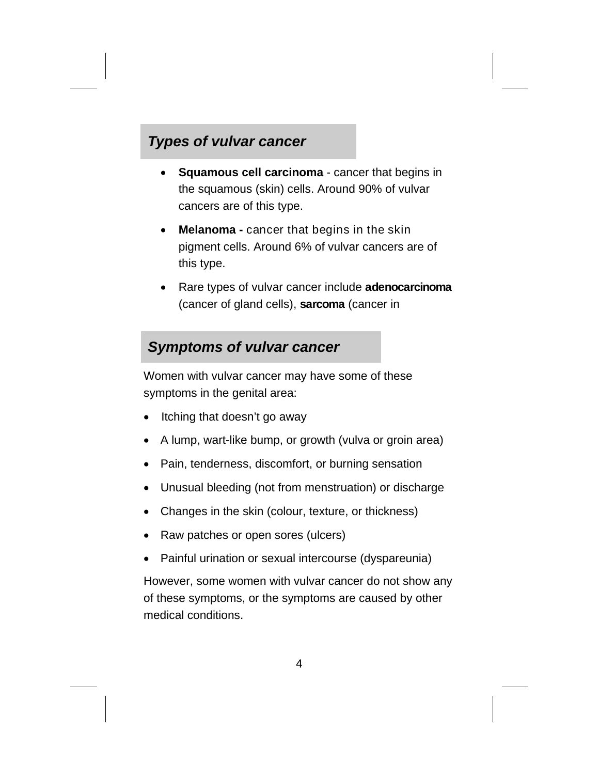## *Types of vulvar cancer*

- **Squamous cell carcinoma**  cancer that begins in the squamous (skin) cells. Around 90% of vulvar cancers are of this type.
- **Melanoma** cancer that begins in the skin pigment cells. Around 6% of vulvar cancers are of this type.
- Rare types of vulvar cancer include **adenocarcinoma**  (cancer of gland cells), **sarcoma** (cancer in

### *Symptoms of vulvar cancer*

Women with vulvar cancer may have some of these symptoms in the genital area:

- Itching that doesn't go away
- A lump, wart-like bump, or growth (vulva or groin area)
- Pain, tenderness, discomfort, or burning sensation
- Unusual bleeding (not from menstruation) or discharge
- Changes in the skin (colour, texture, or thickness)
- Raw patches or open sores (ulcers)
- Painful urination or sexual intercourse (dyspareunia)

However, some women with vulvar cancer do not show any of these symptoms, or the symptoms are caused by other medical conditions.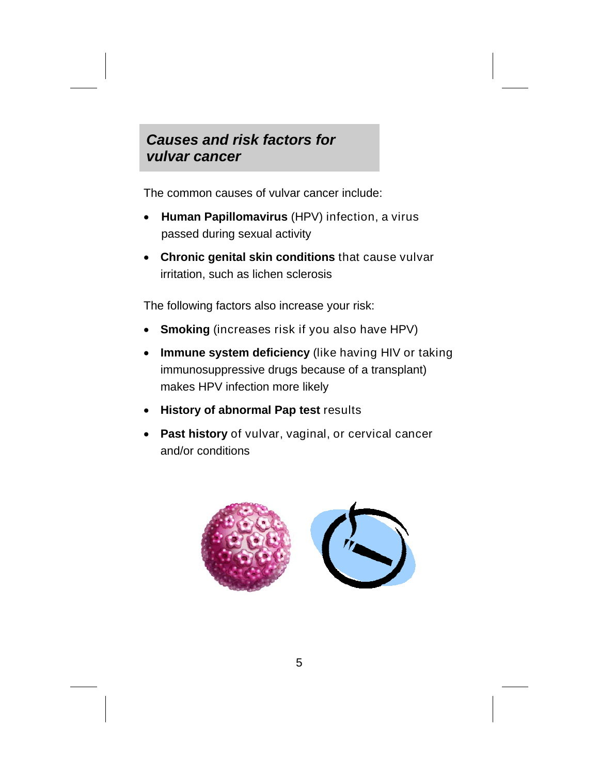## *Causes and risk factors for vulvar cancer*

The common causes of vulvar cancer include:

- **Human Papillomavirus** (HPV) infection, a virus passed during sexual activity
- **Chronic genital skin conditions** that cause vulvar irritation, such as lichen sclerosis

The following factors also increase your risk:

- **Smoking** (increases risk if you also have HPV)
- **Immune system deficiency** (like having HIV or taking immunosuppressive drugs because of a transplant) makes HPV infection more likely
- **History of abnormal Pap test results**
- **Past history** of vulvar, vaginal, or cervical cancer and/or conditions

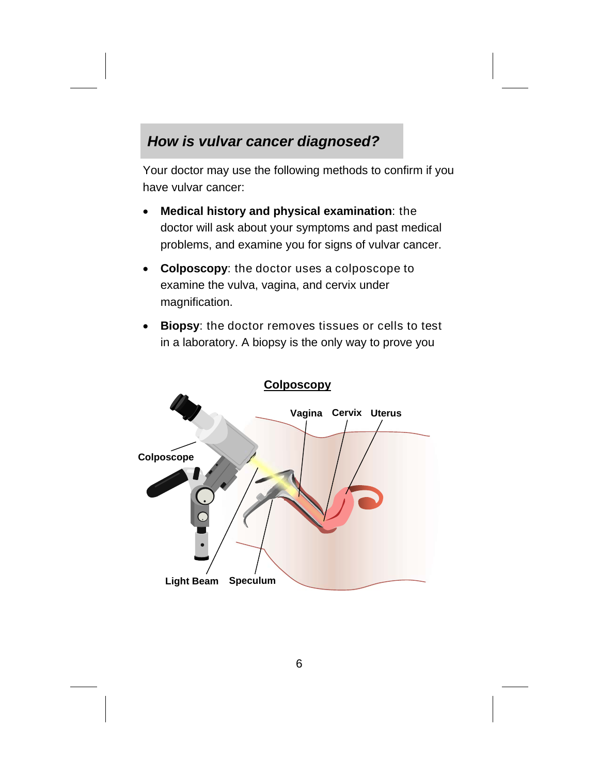## *How is vulvar cancer diagnosed?*

Your doctor may use the following methods to confirm if you have vulvar cancer:

- **Medical history and physical examination**: the doctor will ask about your symptoms and past medical problems, and examine you for signs of vulvar cancer.
- **Colposcopy**: the doctor uses a colposcope to examine the vulva, vagina, and cervix under magnification.
- **Biopsy**: the doctor removes tissues or cells to test in a laboratory. A biopsy is the only way to prove you

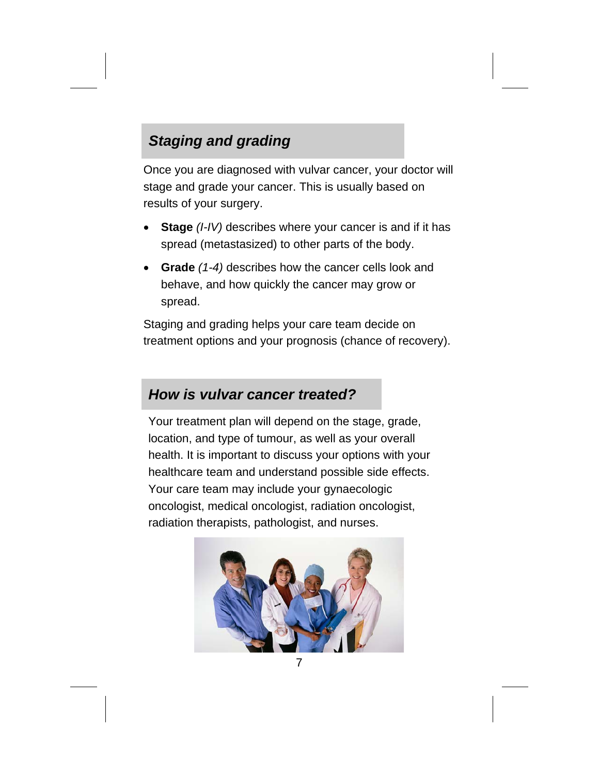## *Staging and grading*

Once you are diagnosed with vulvar cancer, your doctor will stage and grade your cancer. This is usually based on results of your surgery.

- **Stage** *(I-IV)* describes where your cancer is and if it has spread (metastasized) to other parts of the body.
- **Grade** *(1-4)* describes how the cancer cells look and behave, and how quickly the cancer may grow or spread.

Staging and grading helps your care team decide on treatment options and your prognosis (chance of recovery).

## *How is vulvar cancer treated?*

Your treatment plan will depend on the stage, grade, location, and type of tumour, as well as your overall health. It is important to discuss your options with your healthcare team and understand possible side effects. Your care team may include your gynaecologic oncologist, medical oncologist, radiation oncologist, radiation therapists, pathologist, and nurses.

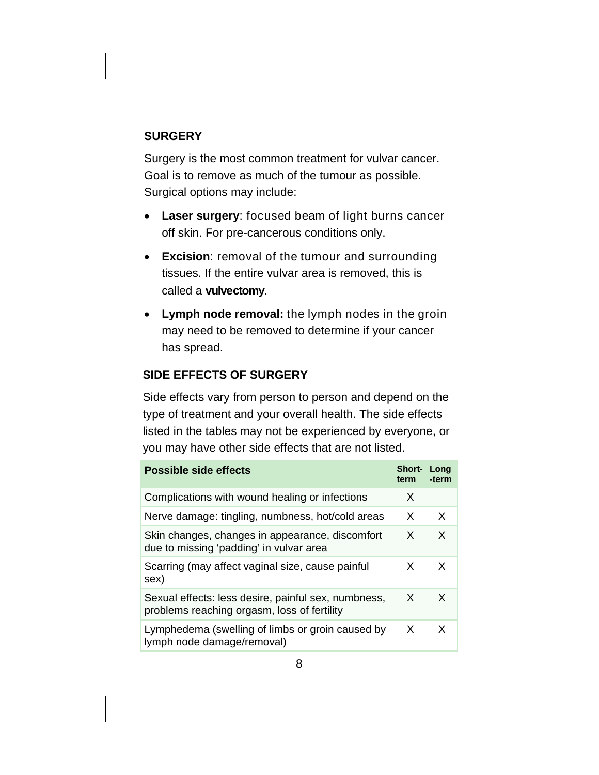#### **SURGERY**

Surgery is the most common treatment for vulvar cancer. Goal is to remove as much of the tumour as possible. Surgical options may include:

- **Laser surgery**: focused beam of light burns cancer off skin. For pre-cancerous conditions only.
- **Excision**: removal of the tumour and surrounding tissues. If the entire vulvar area is removed, this is called a **vulvectomy**.
- **Lymph node removal:** the lymph nodes in the groin may need to be removed to determine if your cancer has spread.

#### **SIDE EFFECTS OF SURGERY**

Side effects vary from person to person and depend on the type of treatment and your overall health. The side effects listed in the tables may not be experienced by everyone, or you may have other side effects that are not listed.

| <b>Possible side effects</b>                                                                       | <b>Short-</b><br>term | Long<br>-term |
|----------------------------------------------------------------------------------------------------|-----------------------|---------------|
| Complications with wound healing or infections                                                     | X                     |               |
| Nerve damage: tingling, numbness, hot/cold areas                                                   | X                     | X             |
| Skin changes, changes in appearance, discomfort<br>due to missing 'padding' in vulvar area         | X                     | X             |
| Scarring (may affect vaginal size, cause painful<br>sex)                                           | X                     | X             |
| Sexual effects: less desire, painful sex, numbness,<br>problems reaching orgasm, loss of fertility | X                     | X             |
| Lymphedema (swelling of limbs or groin caused by<br>lymph node damage/removal)                     | X                     | X             |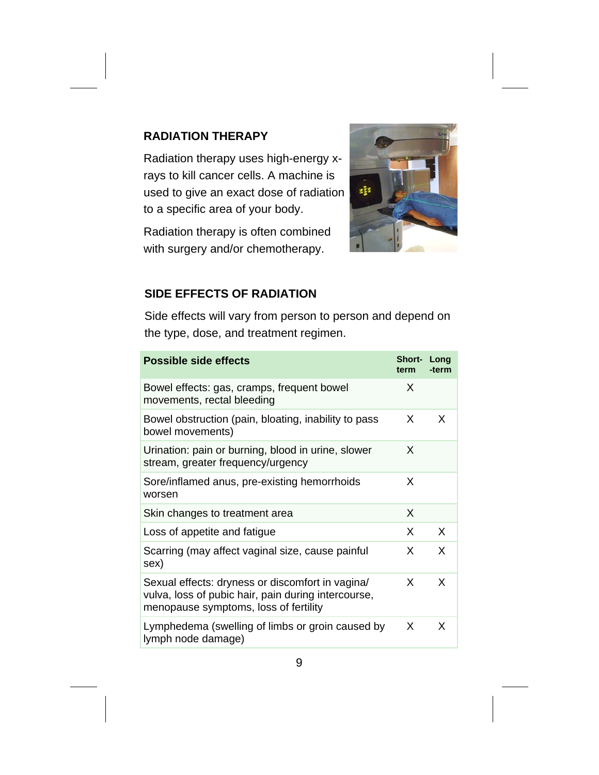#### **RADIATION THERAPY**

Radiation therapy uses high-energy xrays to kill cancer cells. A machine is used to give an exact dose of radiation to a specific area of your body.

Radiation therapy is often combined with surgery and/or chemotherapy.



#### **SIDE EFFECTS OF RADIATION**

Side effects will vary from person to person and depend on the type, dose, and treatment regimen.

| <b>Possible side effects</b>                                                                                                                     | <b>Short- Long</b><br>term | -term |
|--------------------------------------------------------------------------------------------------------------------------------------------------|----------------------------|-------|
| Bowel effects: gas, cramps, frequent bowel<br>movements, rectal bleeding                                                                         | X                          |       |
| Bowel obstruction (pain, bloating, inability to pass<br>bowel movements)                                                                         | X                          | X     |
| Urination: pain or burning, blood in urine, slower<br>stream, greater frequency/urgency                                                          | X                          |       |
| Sore/inflamed anus, pre-existing hemorrhoids<br>worsen                                                                                           | X                          |       |
| Skin changes to treatment area                                                                                                                   | X                          |       |
| Loss of appetite and fatigue                                                                                                                     | X                          | X     |
| Scarring (may affect vaginal size, cause painful<br>sex)                                                                                         | X                          | X     |
| Sexual effects: dryness or discomfort in vagina/<br>vulva, loss of pubic hair, pain during intercourse,<br>menopause symptoms, loss of fertility | X                          | X     |
| Lymphedema (swelling of limbs or groin caused by<br>lymph node damage)                                                                           | X                          | X     |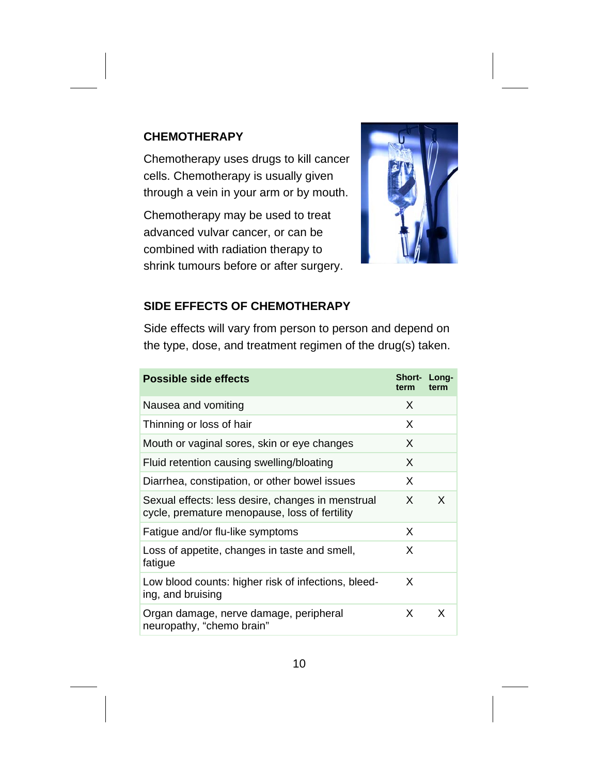#### **CHEMOTHERAPY**

Chemotherapy uses drugs to kill cancer cells. Chemotherapy is usually given through a vein in your arm or by mouth.

Chemotherapy may be used to treat advanced vulvar cancer, or can be combined with radiation therapy to shrink tumours before or after surgery.



#### **SIDE EFFECTS OF CHEMOTHERAPY**

Side effects will vary from person to person and depend on the type, dose, and treatment regimen of the drug(s) taken.

| <b>Possible side effects</b>                                                                       | Short- Long-<br>term | term |
|----------------------------------------------------------------------------------------------------|----------------------|------|
| Nausea and vomiting                                                                                | X                    |      |
| Thinning or loss of hair                                                                           | X                    |      |
| Mouth or vaginal sores, skin or eye changes                                                        | X                    |      |
| Fluid retention causing swelling/bloating                                                          | X                    |      |
| Diarrhea, constipation, or other bowel issues                                                      | X                    |      |
| Sexual effects: less desire, changes in menstrual<br>cycle, premature menopause, loss of fertility | X                    | X    |
| Fatigue and/or flu-like symptoms                                                                   | X                    |      |
| Loss of appetite, changes in taste and smell,<br>fatigue                                           | X                    |      |
| Low blood counts: higher risk of infections, bleed-<br>ing, and bruising                           | X                    |      |
| Organ damage, nerve damage, peripheral<br>neuropathy, "chemo brain"                                | X                    | X    |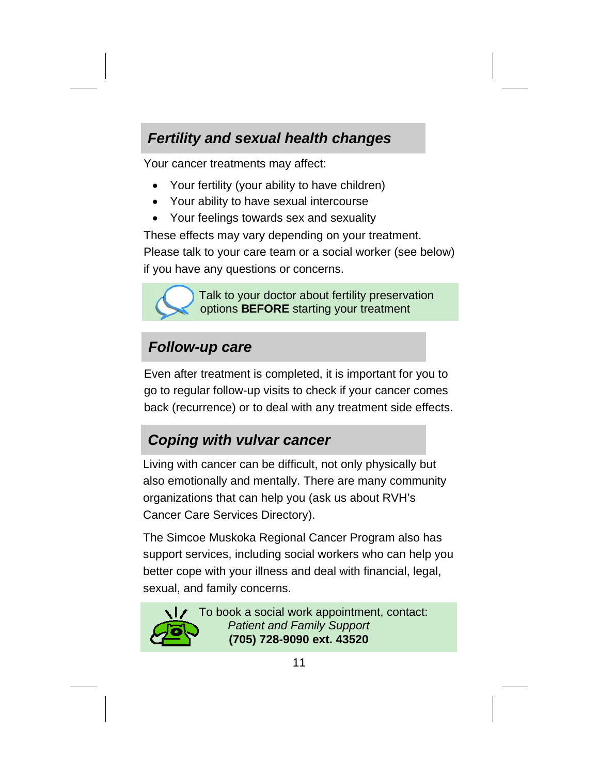## *Fertility and sexual health changes*

Your cancer treatments may affect:

- Your fertility (your ability to have children)
- Your ability to have sexual intercourse
- Your feelings towards sex and sexuality

These effects may vary depending on your treatment. Please talk to your care team or a social worker (see below) if you have any questions or concerns.



 Talk to your doctor about fertility preservation options **BEFORE** starting your treatment

## *Follow-up care*

Even after treatment is completed, it is important for you to go to regular follow-up visits to check if your cancer comes back (recurrence) or to deal with any treatment side effects.

## *Coping with vulvar cancer*

Living with cancer can be difficult, not only physically but also emotionally and mentally. There are many community organizations that can help you (ask us about RVH's Cancer Care Services Directory).

The Simcoe Muskoka Regional Cancer Program also has support services, including social workers who can help you better cope with your illness and deal with financial, legal, sexual, and family concerns.



 $\bigcup$  To book a social work appointment, contact: *Patient and Family Support*  **(705) 728-9090 ext. 43520**